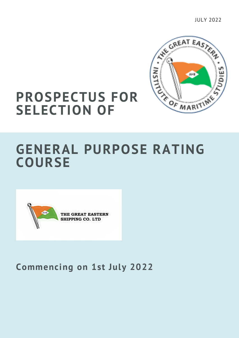CIREAT EAS **AHI** OF MARITIME

JULY 2022

## **PROSPECTUS FOR SELECTION OF**

## **GENERAL PURPOSE RATING COURSE**



### **Commencing on 1st July 2022**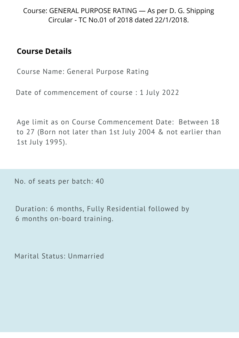Course: GENERAL PURPOSE RATING — As per D. G. Shipping Circular - TC No.01 of 2018 dated 22/1/2018.

#### **Course Details**

Course Name: General Purpose Rating

Date of commencement of course : 1 July 2022

Age limit as on Course Commencement Date: Between 18 to 27 (Born not later than 1st July 2004 & not earlier than 1st July 1995).

No. of seats per batch: 40

Duration: 6 months, Fully Residential followed by 6 months on-board training.

Marital Status: Unmarried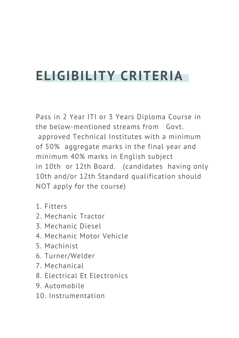# **ELIGIBILITY CRITERIA**

Pass in 2 Year ITI or 3 Years Diploma Course in the below-mentioned streams from Govt. approved Technical Institutes with a minimum of 50% aggregate marks in the final year and minimum 40% marks in English subject in 10th or 12th Board. (candidates having only 10th and/or 12th Standard qualification should NOT apply for the course)

- 1. Fitters
- 2. Mechanic Tractor
- 3. Mechanic Diesel
- 4. Mechanic Motor Vehicle
- 5. Machinist
- 6. Turner/Welder
- 7. Mechanical
- 8. Electrical Et Electronics
- 9. Automobile
- 10. Instrumentation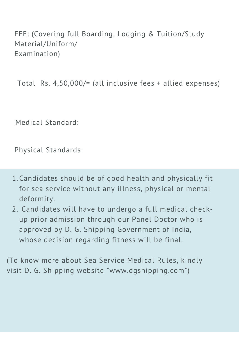FEE: (Covering full Boarding, Lodging & Tuition/Study Material/Uniform/ Examination)

Total Rs. 4,50,000/= (all inclusive fees + allied expenses)

Medical Standard:

Physical Standards:

- Candidates should be of good health and physically fit 1. for sea service without any illness, physical or mental deformity.
- 2. Candidates will have to undergo a full medical checkup prior admission through our Panel Doctor who is approved by D. G. Shipping Government of India, whose decision regarding fitness will be final.

(To know more about Sea Service Medical Rules, kindly visit D. G. Shipping website "www.dgshipping.com")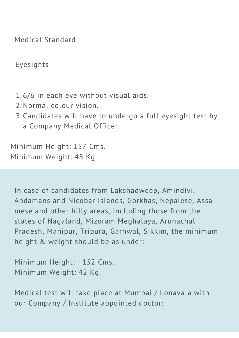Medical Standard:

Eyesights

- 6/6 in each eye without visual aids. 1.
- 2. Normal colour vision.
- Candidates will have to undergo a full eyesight test by 3. a Company Medical Officer.

Minimum Height: 157 Cms. Minimum Weight: 48 Kg.

In case of candidates from Lakshadweep, Amindivi, Andamans and Nicobar Islands, Gorkhas, Nepalese, Assa mese and other hilly areas, including those from the states of Nagaland, Mizoram Meghalaya, Arunachal Pradesh, Manipur, Tripura, Garhwal, Sikkim, the minimum height & weight should be as under:

Minimum Height: 152 Cms. Minimum Weight: 42 Kg.

Medical test will take place at Mumbai / Lonavala with our Company / Institute appointed doctor: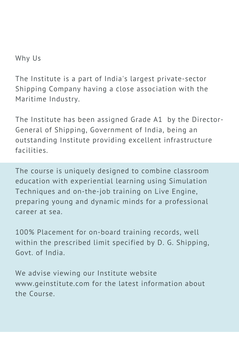Why Us

The Institute is a part of India's largest private-sector Shipping Company having a close association with the Maritime Industry.

The Institute has been assigned Grade A1 by the Director-General of Shipping, Government of India, being an outstanding Institute providing excellent infrastructure facilities.

The course is uniquely designed to combine classroom education with experiential learning using Simulation Techniques and on-the-job training on Live Engine, preparing young and dynamic minds for a professional career at sea.

100% Placement for on-board training records, well within the prescribed limit specified by D. G. Shipping, Govt. of India.

We advise viewing our Institute website [www.geinstitute.com](http://www.geinstitute.com/) for the latest information about the Course.